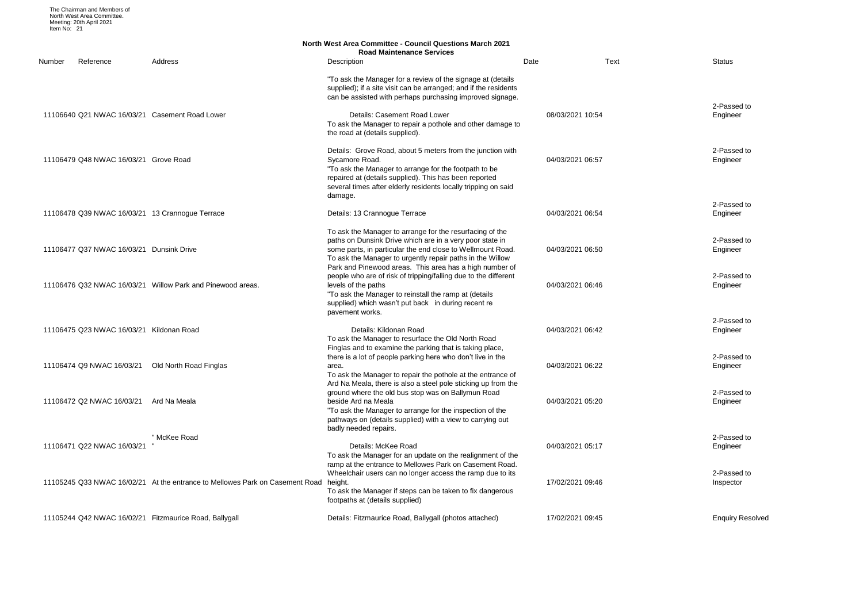2-Passed to Engineer

2-Passed to Engineer

2-Passed to Engineer

2-Passed to Engineer

2-Passed to Engineer

|        |                                          |                                                                                      | <b>North West Area Committee - Council Questions March 2021</b><br><b>Road Maintenance Services</b>                                                                                                                                                                                                                                 |                  |      |                 |
|--------|------------------------------------------|--------------------------------------------------------------------------------------|-------------------------------------------------------------------------------------------------------------------------------------------------------------------------------------------------------------------------------------------------------------------------------------------------------------------------------------|------------------|------|-----------------|
| Number | Reference                                | Address                                                                              | Description                                                                                                                                                                                                                                                                                                                         | Date             | Text | <b>Status</b>   |
|        |                                          |                                                                                      | "To ask the Manager for a review of the signage at (details<br>supplied); if a site visit can be arranged; and if the residents<br>can be assisted with perhaps purchasing improved signage.                                                                                                                                        |                  |      |                 |
|        |                                          | 11106640 Q21 NWAC 16/03/21 Casement Road Lower                                       | Details: Casement Road Lower<br>To ask the Manager to repair a pothole and other damage to<br>the road at (details supplied).                                                                                                                                                                                                       | 08/03/2021 10:54 |      | 2-Pas<br>Engine |
|        | 11106479 Q48 NWAC 16/03/21 Grove Road    |                                                                                      | Details: Grove Road, about 5 meters from the junction with<br>Sycamore Road.<br>"To ask the Manager to arrange for the footpath to be<br>repaired at (details supplied). This has been reported<br>several times after elderly residents locally tripping on said<br>damage.                                                        | 04/03/2021 06:57 |      | 2-Pas<br>Engine |
|        |                                          |                                                                                      |                                                                                                                                                                                                                                                                                                                                     |                  |      | 2-Pas           |
|        |                                          | 11106478 Q39 NWAC 16/03/21 13 Crannogue Terrace                                      | Details: 13 Crannogue Terrace                                                                                                                                                                                                                                                                                                       | 04/03/2021 06:54 |      | Engine          |
|        | 11106477 Q37 NWAC 16/03/21 Dunsink Drive |                                                                                      | To ask the Manager to arrange for the resurfacing of the<br>paths on Dunsink Drive which are in a very poor state in<br>some parts, in particular the end close to Wellmount Road.<br>To ask the Manager to urgently repair paths in the Willow                                                                                     | 04/03/2021 06:50 |      | 2-Pas<br>Engine |
|        |                                          | 11106476 Q32 NWAC 16/03/21 Willow Park and Pinewood areas.                           | Park and Pinewood areas. This area has a high number of<br>people who are of risk of tripping/falling due to the different<br>levels of the paths<br>"To ask the Manager to reinstall the ramp at (details<br>supplied) which wasn't put back in during recent re                                                                   | 04/03/2021 06:46 |      | 2-Pas<br>Engine |
|        |                                          |                                                                                      | pavement works.                                                                                                                                                                                                                                                                                                                     |                  |      | 2-Pas           |
|        | 11106475 Q23 NWAC 16/03/21 Kildonan Road |                                                                                      | Details: Kildonan Road<br>To ask the Manager to resurface the Old North Road<br>Finglas and to examine the parking that is taking place,                                                                                                                                                                                            | 04/03/2021 06:42 |      | Engine          |
|        |                                          | 11106474 Q9 NWAC 16/03/21 Old North Road Finglas                                     | there is a lot of people parking here who don't live in the<br>area.                                                                                                                                                                                                                                                                | 04/03/2021 06:22 |      | 2-Pas<br>Engine |
|        | 11106472 Q2 NWAC 16/03/21                | Ard Na Meala                                                                         | To ask the Manager to repair the pothole at the entrance of<br>Ard Na Meala, there is also a steel pole sticking up from the<br>ground where the old bus stop was on Ballymun Road<br>beside Ard na Meala<br>"To ask the Manager to arrange for the inspection of the<br>pathways on (details supplied) with a view to carrying out | 04/03/2021 05:20 |      | 2-Pas<br>Engine |
|        |                                          | " McKee Road                                                                         | badly needed repairs.                                                                                                                                                                                                                                                                                                               |                  |      | 2-Pas           |
|        | 11106471 Q22 NWAC 16/03/21               |                                                                                      | Details: McKee Road<br>To ask the Manager for an update on the realignment of the<br>ramp at the entrance to Mellowes Park on Casement Road.                                                                                                                                                                                        | 04/03/2021 05:17 |      | Engine          |
|        |                                          | 11105245 Q33 NWAC 16/02/21 At the entrance to Mellowes Park on Casement Road height. | Wheelchair users can no longer access the ramp due to its<br>To ask the Manager if steps can be taken to fix dangerous<br>footpaths at (details supplied)                                                                                                                                                                           | 17/02/2021 09:46 |      | 2-Pas<br>Insped |
|        |                                          | 11105244 Q42 NWAC 16/02/21 Fitzmaurice Road, Ballygall                               | Details: Fitzmaurice Road, Ballygall (photos attached)                                                                                                                                                                                                                                                                              | 17/02/2021 09:45 |      | Enqui           |

2-Passed to Engineer

2-Passed to Engineer

2-Passed to Engineer

2-Passed to Engineer

2-Passed to Inspector

# Enquiry Resolved

The Chairman and Members of North West Area Committee. Meeting: 20th April 2021 Item No: 21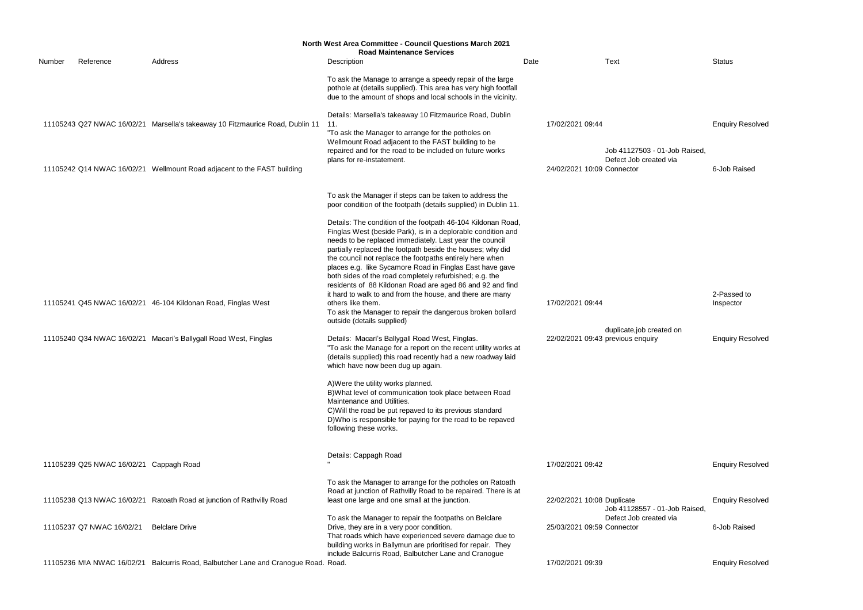|        | <b>North West Area Committee - Council Questions March 2021</b> |                                                                                                                                   |                                                                                                                                                                                                                                                                                                                                                                                                                                                                                                                                                                                                                                                                                                                                                                                                                                                                                                                                                                                                                                                                                                                                                                                                 |      |                                                       |                                                         |                                                     |  |  |  |  |
|--------|-----------------------------------------------------------------|-----------------------------------------------------------------------------------------------------------------------------------|-------------------------------------------------------------------------------------------------------------------------------------------------------------------------------------------------------------------------------------------------------------------------------------------------------------------------------------------------------------------------------------------------------------------------------------------------------------------------------------------------------------------------------------------------------------------------------------------------------------------------------------------------------------------------------------------------------------------------------------------------------------------------------------------------------------------------------------------------------------------------------------------------------------------------------------------------------------------------------------------------------------------------------------------------------------------------------------------------------------------------------------------------------------------------------------------------|------|-------------------------------------------------------|---------------------------------------------------------|-----------------------------------------------------|--|--|--|--|
| Number | Reference                                                       | Address                                                                                                                           | <b>Road Maintenance Services</b><br>Description                                                                                                                                                                                                                                                                                                                                                                                                                                                                                                                                                                                                                                                                                                                                                                                                                                                                                                                                                                                                                                                                                                                                                 | Date |                                                       | Text                                                    | <b>Status</b>                                       |  |  |  |  |
|        |                                                                 |                                                                                                                                   | To ask the Manage to arrange a speedy repair of the large<br>pothole at (details supplied). This area has very high footfall<br>due to the amount of shops and local schools in the vicinity.                                                                                                                                                                                                                                                                                                                                                                                                                                                                                                                                                                                                                                                                                                                                                                                                                                                                                                                                                                                                   |      |                                                       |                                                         |                                                     |  |  |  |  |
|        |                                                                 | 11105243 Q27 NWAC 16/02/21 Marsella's takeaway 10 Fitzmaurice Road, Dublin 11                                                     | Details: Marsella's takeaway 10 Fitzmaurice Road, Dublin<br>11.<br>"To ask the Manager to arrange for the potholes on<br>Wellmount Road adjacent to the FAST building to be                                                                                                                                                                                                                                                                                                                                                                                                                                                                                                                                                                                                                                                                                                                                                                                                                                                                                                                                                                                                                     |      | 17/02/2021 09:44                                      |                                                         | <b>Enquiry Resolved</b>                             |  |  |  |  |
|        |                                                                 | 11105242 Q14 NWAC 16/02/21 Wellmount Road adjacent to the FAST building                                                           | repaired and for the road to be included on future works<br>plans for re-instatement.                                                                                                                                                                                                                                                                                                                                                                                                                                                                                                                                                                                                                                                                                                                                                                                                                                                                                                                                                                                                                                                                                                           |      | 24/02/2021 10:09 Connector                            | Job 41127503 - 01-Job Raised,<br>Defect Job created via | 6-Job Raised                                        |  |  |  |  |
|        |                                                                 |                                                                                                                                   | To ask the Manager if steps can be taken to address the<br>poor condition of the footpath (details supplied) in Dublin 11.                                                                                                                                                                                                                                                                                                                                                                                                                                                                                                                                                                                                                                                                                                                                                                                                                                                                                                                                                                                                                                                                      |      |                                                       |                                                         |                                                     |  |  |  |  |
|        |                                                                 | 11105241 Q45 NWAC 16/02/21 46-104 Kildonan Road, Finglas West<br>11105240 Q34 NWAC 16/02/21 Macari's Ballygall Road West, Finglas | Details: The condition of the footpath 46-104 Kildonan Road,<br>Finglas West (beside Park), is in a deplorable condition and<br>needs to be replaced immediately. Last year the council<br>partially replaced the footpath beside the houses; why did<br>the council not replace the footpaths entirely here when<br>places e.g. like Sycamore Road in Finglas East have gave<br>both sides of the road completely refurbished; e.g. the<br>residents of 88 Kildonan Road are aged 86 and 92 and find<br>it hard to walk to and from the house, and there are many<br>others like them.<br>To ask the Manager to repair the dangerous broken bollard<br>outside (details supplied)<br>Details: Macari's Ballygall Road West, Finglas.<br>"To ask the Manage for a report on the recent utility works at<br>(details supplied) this road recently had a new roadway laid<br>which have now been dug up again.<br>A) Were the utility works planned.<br>B) What level of communication took place between Road<br>Maintenance and Utilities.<br>C) Will the road be put repaved to its previous standard<br>D) Who is responsible for paying for the road to be repaved<br>following these works. |      | 17/02/2021 09:44<br>22/02/2021 09:43 previous enquiry | duplicate, job created on                               | 2-Passed to<br>Inspector<br><b>Enquiry Resolved</b> |  |  |  |  |
|        |                                                                 |                                                                                                                                   | Details: Cappagh Road                                                                                                                                                                                                                                                                                                                                                                                                                                                                                                                                                                                                                                                                                                                                                                                                                                                                                                                                                                                                                                                                                                                                                                           |      |                                                       |                                                         |                                                     |  |  |  |  |
|        | 11105239 Q25 NWAC 16/02/21 Cappagh Road                         |                                                                                                                                   |                                                                                                                                                                                                                                                                                                                                                                                                                                                                                                                                                                                                                                                                                                                                                                                                                                                                                                                                                                                                                                                                                                                                                                                                 |      | 17/02/2021 09:42                                      |                                                         | <b>Enquiry Resolved</b>                             |  |  |  |  |
|        |                                                                 | 11105238 Q13 NWAC 16/02/21 Ratoath Road at junction of Rathvilly Road                                                             | To ask the Manager to arrange for the potholes on Ratoath<br>Road at junction of Rathvilly Road to be repaired. There is at<br>least one large and one small at the junction.                                                                                                                                                                                                                                                                                                                                                                                                                                                                                                                                                                                                                                                                                                                                                                                                                                                                                                                                                                                                                   |      | 22/02/2021 10:08 Duplicate                            | Job 41128557 - 01-Job Raised,                           | <b>Enquiry Resolved</b>                             |  |  |  |  |
|        | 11105237 Q7 NWAC 16/02/21                                       | <b>Belclare Drive</b>                                                                                                             | To ask the Manager to repair the footpaths on Belclare<br>Drive, they are in a very poor condition.<br>That roads which have experienced severe damage due to<br>building works in Ballymun are prioritised for repair. They                                                                                                                                                                                                                                                                                                                                                                                                                                                                                                                                                                                                                                                                                                                                                                                                                                                                                                                                                                    |      | 25/03/2021 09:59 Connector                            | Defect Job created via                                  | 6-Job Raised                                        |  |  |  |  |
|        |                                                                 | 11105236 M!A NWAC 16/02/21 Balcurris Road, Balbutcher Lane and Cranogue Road. Road.                                               | include Balcurris Road, Balbutcher Lane and Cranogue                                                                                                                                                                                                                                                                                                                                                                                                                                                                                                                                                                                                                                                                                                                                                                                                                                                                                                                                                                                                                                                                                                                                            |      | 17/02/2021 09:39                                      |                                                         | <b>Enquiry Resolved</b>                             |  |  |  |  |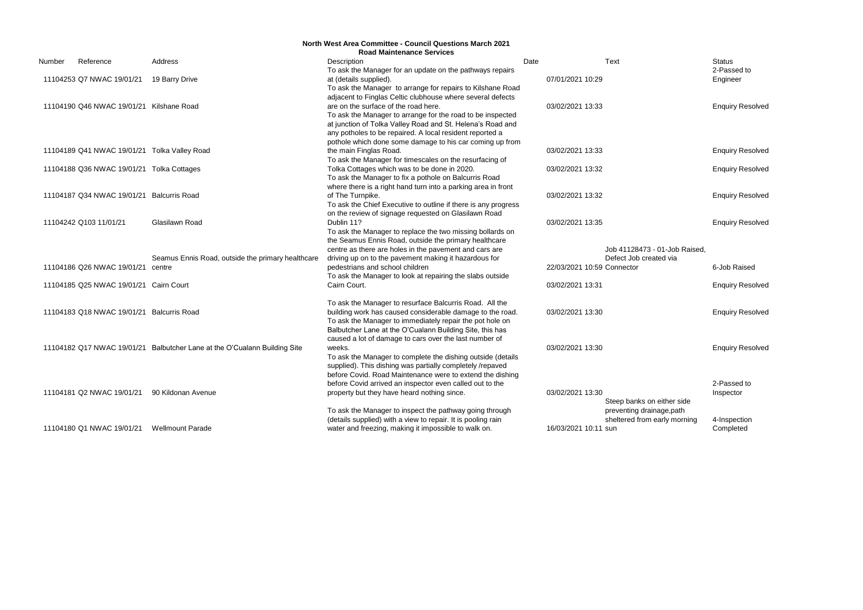2-Passed to Engineer

**Enquiry Resolved** 

**Enquiry Resolved** 

**Enquiry Resolved** 

**Enquiry Resolved** 

**Enquiry Resolved** 

6-Job Raised

**Enquiry Resolved** 

**Enquiry Resolved** 

**Enquiry Resolved** 

|        | <b>North West Area Committee - Council Questions March 2021</b><br><b>Road Maintenance Services</b> |                                                                           |                                                                |                      |                               |               |  |  |  |
|--------|-----------------------------------------------------------------------------------------------------|---------------------------------------------------------------------------|----------------------------------------------------------------|----------------------|-------------------------------|---------------|--|--|--|
| Number | Reference                                                                                           | Address                                                                   | Description                                                    | Date                 | <b>Text</b>                   | <b>Status</b> |  |  |  |
|        |                                                                                                     |                                                                           | To ask the Manager for an update on the pathways repairs       |                      |                               | 2-Pas         |  |  |  |
|        | 11104253 Q7 NWAC 19/01/21                                                                           | 19 Barry Drive                                                            | at (details supplied).                                         | 07/01/2021 10:29     |                               | Engine        |  |  |  |
|        |                                                                                                     |                                                                           | To ask the Manager to arrange for repairs to Kilshane Road     |                      |                               |               |  |  |  |
|        |                                                                                                     |                                                                           | adjacent to Finglas Celtic clubhouse where several defects     |                      |                               |               |  |  |  |
|        | 11104190 Q46 NWAC 19/01/21 Kilshane Road                                                            |                                                                           | are on the surface of the road here.                           | 03/02/2021 13:33     |                               | Enqui         |  |  |  |
|        |                                                                                                     |                                                                           | To ask the Manager to arrange for the road to be inspected     |                      |                               |               |  |  |  |
|        |                                                                                                     |                                                                           | at junction of Tolka Valley Road and St. Helena's Road and     |                      |                               |               |  |  |  |
|        |                                                                                                     |                                                                           | any potholes to be repaired. A local resident reported a       |                      |                               |               |  |  |  |
|        |                                                                                                     |                                                                           | pothole which done some damage to his car coming up from       |                      |                               |               |  |  |  |
|        | 11104189 Q41 NWAC 19/01/21 Tolka Valley Road                                                        |                                                                           | the main Finglas Road.                                         | 03/02/2021 13:33     |                               | Enqui         |  |  |  |
|        |                                                                                                     |                                                                           | To ask the Manager for timescales on the resurfacing of        |                      |                               |               |  |  |  |
|        | 11104188 Q36 NWAC 19/01/21 Tolka Cottages                                                           |                                                                           | Tolka Cottages which was to be done in 2020.                   | 03/02/2021 13:32     |                               | Enqui         |  |  |  |
|        |                                                                                                     |                                                                           | To ask the Manager to fix a pothole on Balcurris Road          |                      |                               |               |  |  |  |
|        |                                                                                                     |                                                                           | where there is a right hand turn into a parking area in front  |                      |                               |               |  |  |  |
|        | 11104187 Q34 NWAC 19/01/21 Balcurris Road                                                           |                                                                           | of The Turnpike.                                               | 03/02/2021 13:32     |                               | Enqui         |  |  |  |
|        |                                                                                                     |                                                                           | To ask the Chief Executive to outline if there is any progress |                      |                               |               |  |  |  |
|        |                                                                                                     |                                                                           | on the review of signage requested on Glasilawn Road           |                      |                               |               |  |  |  |
|        | 11104242 Q103 11/01/21                                                                              | Glasilawn Road                                                            | Dublin 11?                                                     | 03/02/2021 13:35     |                               | Enqui         |  |  |  |
|        |                                                                                                     |                                                                           | To ask the Manager to replace the two missing bollards on      |                      |                               |               |  |  |  |
|        |                                                                                                     |                                                                           | the Seamus Ennis Road, outside the primary healthcare          |                      |                               |               |  |  |  |
|        |                                                                                                     |                                                                           | centre as there are holes in the pavement and cars are         |                      | Job 41128473 - 01-Job Raised, |               |  |  |  |
|        |                                                                                                     | Seamus Ennis Road, outside the primary healthcare                         | driving up on to the pavement making it hazardous for          |                      | Defect Job created via        |               |  |  |  |
|        | 11104186 Q26 NWAC 19/01/21 centre                                                                   |                                                                           | pedestrians and school children                                |                      | 22/03/2021 10:59 Connector    | 6-Job         |  |  |  |
|        |                                                                                                     |                                                                           | To ask the Manager to look at repairing the slabs outside      |                      |                               |               |  |  |  |
|        | 11104185 Q25 NWAC 19/01/21 Cairn Court                                                              |                                                                           | Cairn Court.                                                   | 03/02/2021 13:31     |                               | Enqui         |  |  |  |
|        |                                                                                                     |                                                                           |                                                                |                      |                               |               |  |  |  |
|        |                                                                                                     |                                                                           | To ask the Manager to resurface Balcurris Road. All the        |                      |                               |               |  |  |  |
|        | 11104183 Q18 NWAC 19/01/21 Balcurris Road                                                           |                                                                           | building work has caused considerable damage to the road.      | 03/02/2021 13:30     |                               | Enqui         |  |  |  |
|        |                                                                                                     |                                                                           | To ask the Manager to immediately repair the pot hole on       |                      |                               |               |  |  |  |
|        |                                                                                                     |                                                                           | Balbutcher Lane at the O'Cualann Building Site, this has       |                      |                               |               |  |  |  |
|        |                                                                                                     |                                                                           | caused a lot of damage to cars over the last number of         |                      |                               |               |  |  |  |
|        |                                                                                                     | 11104182 Q17 NWAC 19/01/21 Balbutcher Lane at the O'Cualann Building Site | weeks.                                                         | 03/02/2021 13:30     |                               | Enqui         |  |  |  |
|        |                                                                                                     |                                                                           | To ask the Manager to complete the dishing outside (details    |                      |                               |               |  |  |  |
|        |                                                                                                     |                                                                           | supplied). This dishing was partially completely /repaved      |                      |                               |               |  |  |  |
|        |                                                                                                     |                                                                           | before Covid. Road Maintenance were to extend the dishing      |                      |                               |               |  |  |  |
|        |                                                                                                     |                                                                           | before Covid arrived an inspector even called out to the       |                      |                               | 2-Pas         |  |  |  |
|        | 11104181 Q2 NWAC 19/01/21                                                                           | 90 Kildonan Avenue                                                        | property but they have heard nothing since.                    | 03/02/2021 13:30     |                               | Inspeo        |  |  |  |
|        |                                                                                                     |                                                                           |                                                                |                      | Steep banks on either side    |               |  |  |  |
|        |                                                                                                     |                                                                           | To ask the Manager to inspect the pathway going through        |                      | preventing drainage, path     |               |  |  |  |
|        |                                                                                                     |                                                                           | (details supplied) with a view to repair. It is pooling rain   |                      | sheltered from early morning  | 4-Insp        |  |  |  |
|        | 11104180 Q1 NWAC 19/01/21                                                                           | <b>Wellmount Parade</b>                                                   | water and freezing, making it impossible to walk on.           | 16/03/2021 10:11 sun |                               | Comp          |  |  |  |
|        |                                                                                                     |                                                                           |                                                                |                      |                               |               |  |  |  |

4-Inspection **Completed** 

2-Passed to Inspector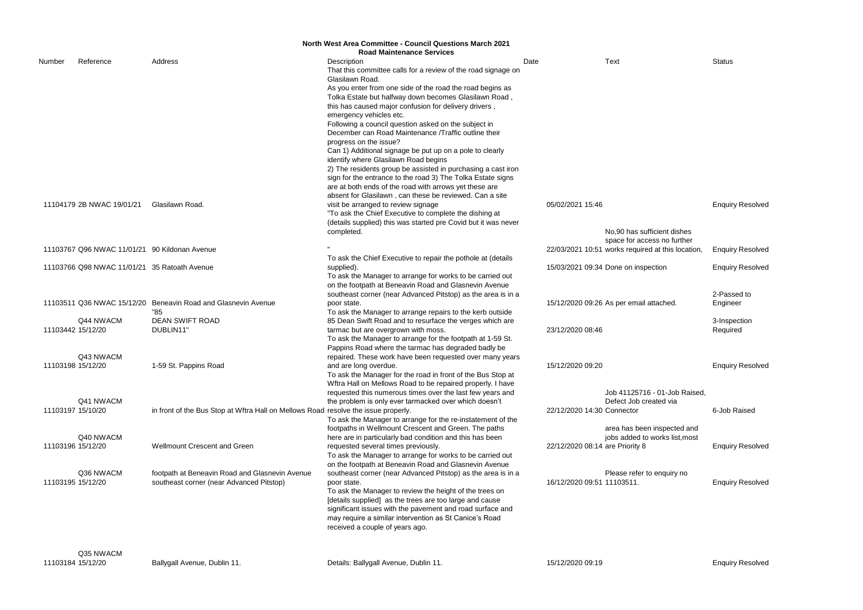|        | North West Area Committee - Council Questions March 2021 |                                                                                    |                                                                                                                             |                                 |                                                                                  |                         |  |  |  |  |
|--------|----------------------------------------------------------|------------------------------------------------------------------------------------|-----------------------------------------------------------------------------------------------------------------------------|---------------------------------|----------------------------------------------------------------------------------|-------------------------|--|--|--|--|
|        |                                                          |                                                                                    | <b>Road Maintenance Services</b>                                                                                            |                                 |                                                                                  |                         |  |  |  |  |
| Number | Reference                                                | Address                                                                            | Description<br>That this committee calls for a review of the road signage on                                                | Date                            | Text                                                                             | <b>Status</b>           |  |  |  |  |
|        |                                                          |                                                                                    | Glasilawn Road.                                                                                                             |                                 |                                                                                  |                         |  |  |  |  |
|        |                                                          |                                                                                    | As you enter from one side of the road the road begins as                                                                   |                                 |                                                                                  |                         |  |  |  |  |
|        |                                                          |                                                                                    | Tolka Estate but halfway down becomes Glasilawn Road,<br>this has caused major confusion for delivery drivers,              |                                 |                                                                                  |                         |  |  |  |  |
|        |                                                          |                                                                                    | emergency vehicles etc.                                                                                                     |                                 |                                                                                  |                         |  |  |  |  |
|        |                                                          |                                                                                    | Following a council question asked on the subject in                                                                        |                                 |                                                                                  |                         |  |  |  |  |
|        |                                                          |                                                                                    | December can Road Maintenance /Traffic outline their                                                                        |                                 |                                                                                  |                         |  |  |  |  |
|        |                                                          |                                                                                    | progress on the issue?                                                                                                      |                                 |                                                                                  |                         |  |  |  |  |
|        |                                                          |                                                                                    | Can 1) Additional signage be put up on a pole to clearly                                                                    |                                 |                                                                                  |                         |  |  |  |  |
|        |                                                          |                                                                                    | identify where Glasilawn Road begins                                                                                        |                                 |                                                                                  |                         |  |  |  |  |
|        |                                                          |                                                                                    | 2) The residents group be assisted in purchasing a cast iron<br>sign for the entrance to the road 3) The Tolka Estate signs |                                 |                                                                                  |                         |  |  |  |  |
|        |                                                          |                                                                                    | are at both ends of the road with arrows yet these are                                                                      |                                 |                                                                                  |                         |  |  |  |  |
|        |                                                          |                                                                                    | absent for Glasilawn, can these be reviewed. Can a site                                                                     |                                 |                                                                                  |                         |  |  |  |  |
|        | 11104179 2B NWAC 19/01/21                                | Glasilawn Road.                                                                    | visit be arranged to review signage                                                                                         | 05/02/2021 15:46                |                                                                                  | <b>Enquiry Resolved</b> |  |  |  |  |
|        |                                                          |                                                                                    | "To ask the Chief Executive to complete the dishing at                                                                      |                                 |                                                                                  |                         |  |  |  |  |
|        |                                                          |                                                                                    | (details supplied) this was started pre Covid but it was never                                                              |                                 |                                                                                  |                         |  |  |  |  |
|        |                                                          |                                                                                    | completed.                                                                                                                  |                                 | No,90 has sufficient dishes                                                      |                         |  |  |  |  |
|        | 11103767 Q96 NWAC 11/01/21 90 Kildonan Avenue            |                                                                                    |                                                                                                                             |                                 | space for access no further<br>22/03/2021 10:51 works required at this location, | <b>Enquiry Resolved</b> |  |  |  |  |
|        |                                                          |                                                                                    | To ask the Chief Executive to repair the pothole at (details                                                                |                                 |                                                                                  |                         |  |  |  |  |
|        | 11103766 Q98 NWAC 11/01/21 35 Ratoath Avenue             |                                                                                    | supplied).                                                                                                                  |                                 | 15/03/2021 09:34 Done on inspection                                              | <b>Enquiry Resolved</b> |  |  |  |  |
|        |                                                          |                                                                                    | To ask the Manager to arrange for works to be carried out                                                                   |                                 |                                                                                  |                         |  |  |  |  |
|        |                                                          |                                                                                    | on the footpath at Beneavin Road and Glasnevin Avenue                                                                       |                                 |                                                                                  |                         |  |  |  |  |
|        |                                                          |                                                                                    | southeast corner (near Advanced Pitstop) as the area is in a                                                                |                                 |                                                                                  | 2-Passed to             |  |  |  |  |
|        |                                                          | 11103511 Q36 NWAC 15/12/20 Beneavin Road and Glasnevin Avenue<br>"85               | poor state.<br>To ask the Manager to arrange repairs to the kerb outside                                                    |                                 | 15/12/2020 09:26 As per email attached.                                          | Engineer                |  |  |  |  |
|        | Q44 NWACM                                                | <b>DEAN SWIFT ROAD</b>                                                             | 85 Dean Swift Road and to resurface the verges which are                                                                    |                                 |                                                                                  | 3-Inspection            |  |  |  |  |
|        | 11103442 15/12/20                                        | DUBLIN11'                                                                          | tarmac but are overgrown with moss.                                                                                         | 23/12/2020 08:46                |                                                                                  | Required                |  |  |  |  |
|        |                                                          |                                                                                    | To ask the Manager to arrange for the footpath at 1-59 St.                                                                  |                                 |                                                                                  |                         |  |  |  |  |
|        |                                                          |                                                                                    | Pappins Road where the tarmac has degraded badly be                                                                         |                                 |                                                                                  |                         |  |  |  |  |
|        | Q43 NWACM                                                |                                                                                    | repaired. These work have been requested over many years                                                                    | 15/12/2020 09:20                |                                                                                  |                         |  |  |  |  |
|        | 11103198 15/12/20                                        | 1-59 St. Pappins Road                                                              | and are long overdue.<br>To ask the Manager for the road in front of the Bus Stop at                                        |                                 |                                                                                  | <b>Enquiry Resolved</b> |  |  |  |  |
|        |                                                          |                                                                                    | Wftra Hall on Mellows Road to be repaired properly. I have                                                                  |                                 |                                                                                  |                         |  |  |  |  |
|        |                                                          |                                                                                    | requested this numerous times over the last few years and                                                                   |                                 | Job 41125716 - 01-Job Raised,                                                    |                         |  |  |  |  |
|        | Q41 NWACM                                                |                                                                                    | the problem is only ever tarmacked over which doesn't                                                                       |                                 | Defect Job created via                                                           |                         |  |  |  |  |
|        | 11103197 15/10/20                                        | in front of the Bus Stop at Wftra Hall on Mellows Road resolve the issue properly. |                                                                                                                             | 22/12/2020 14:30 Connector      |                                                                                  | 6-Job Raised            |  |  |  |  |
|        |                                                          |                                                                                    | To ask the Manager to arrange for the re-instatement of the                                                                 |                                 |                                                                                  |                         |  |  |  |  |
|        | Q40 NWACM                                                |                                                                                    | footpaths in Wellmount Crescent and Green. The paths<br>here are in particularly bad condition and this has been            |                                 | area has been inspected and<br>jobs added to works list, most                    |                         |  |  |  |  |
|        | 11103196 15/12/20                                        | Wellmount Crescent and Green                                                       | requested several times previously.                                                                                         | 22/12/2020 08:14 are Priority 8 |                                                                                  | <b>Enquiry Resolved</b> |  |  |  |  |
|        |                                                          |                                                                                    | To ask the Manager to arrange for works to be carried out                                                                   |                                 |                                                                                  |                         |  |  |  |  |
|        |                                                          |                                                                                    | on the footpath at Beneavin Road and Glasnevin Avenue                                                                       |                                 |                                                                                  |                         |  |  |  |  |
|        | Q36 NWACM                                                | footpath at Beneavin Road and Glasnevin Avenue                                     | southeast corner (near Advanced Pitstop) as the area is in a                                                                |                                 | Please refer to enquiry no                                                       |                         |  |  |  |  |
|        | 11103195 15/12/20                                        | southeast corner (near Advanced Pitstop)                                           | poor state.                                                                                                                 | 16/12/2020 09:51 11103511.      |                                                                                  | <b>Enquiry Resolved</b> |  |  |  |  |
|        |                                                          |                                                                                    | To ask the Manager to review the height of the trees on                                                                     |                                 |                                                                                  |                         |  |  |  |  |
|        |                                                          |                                                                                    | [details supplied] as the trees are too large and cause<br>significant issues with the pavement and road surface and        |                                 |                                                                                  |                         |  |  |  |  |
|        |                                                          |                                                                                    | may require a similar intervention as St Canice's Road                                                                      |                                 |                                                                                  |                         |  |  |  |  |
|        |                                                          |                                                                                    | received a couple of years ago.                                                                                             |                                 |                                                                                  |                         |  |  |  |  |
|        |                                                          |                                                                                    |                                                                                                                             |                                 |                                                                                  |                         |  |  |  |  |
|        |                                                          |                                                                                    |                                                                                                                             |                                 |                                                                                  |                         |  |  |  |  |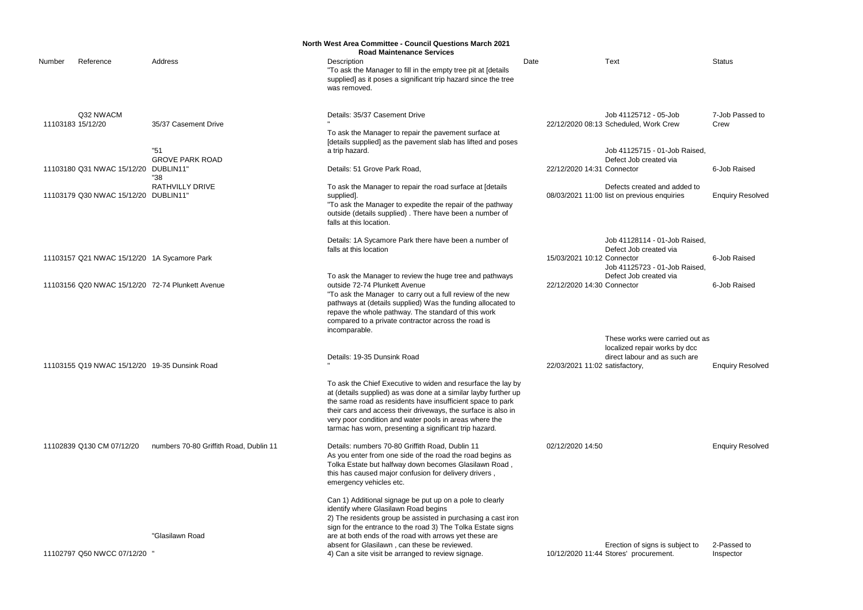|        |                                               |                                                  | <b>North West Area Committee - Council Questions March 2021</b>                                                                                                                                                                                                                                                                                                                    |      |                                |                                                                             |                         |
|--------|-----------------------------------------------|--------------------------------------------------|------------------------------------------------------------------------------------------------------------------------------------------------------------------------------------------------------------------------------------------------------------------------------------------------------------------------------------------------------------------------------------|------|--------------------------------|-----------------------------------------------------------------------------|-------------------------|
|        |                                               |                                                  | <b>Road Maintenance Services</b>                                                                                                                                                                                                                                                                                                                                                   |      |                                |                                                                             |                         |
| Number | Reference                                     | Address                                          | Description<br>"To ask the Manager to fill in the empty tree pit at [details<br>supplied] as it poses a significant trip hazard since the tree<br>was removed.                                                                                                                                                                                                                     | Date |                                | Text                                                                        | <b>Status</b>           |
|        | Q32 NWACM<br>11103183 15/12/20                | 35/37 Casement Drive                             | Details: 35/37 Casement Drive                                                                                                                                                                                                                                                                                                                                                      |      |                                | Job 41125712 - 05-Job<br>22/12/2020 08:13 Scheduled, Work Crew              | 7-Job Passed to<br>Crew |
|        |                                               |                                                  | To ask the Manager to repair the pavement surface at<br>[details supplied] as the pavement slab has lifted and poses                                                                                                                                                                                                                                                               |      |                                |                                                                             |                         |
|        | 11103180 Q31 NWAC 15/12/20                    | "51<br><b>GROVE PARK ROAD</b><br>DUBLIN11'       | a trip hazard.<br>Details: 51 Grove Park Road,                                                                                                                                                                                                                                                                                                                                     |      | 22/12/2020 14:31 Connector     | Job 41125715 - 01-Job Raised,<br>Defect Job created via                     | 6-Job Raised            |
|        |                                               | "38                                              |                                                                                                                                                                                                                                                                                                                                                                                    |      |                                |                                                                             |                         |
|        | 11103179 Q30 NWAC 15/12/20 DUBLIN11'          | <b>RATHVILLY DRIVE</b>                           | To ask the Manager to repair the road surface at [details<br>supplied].<br>"To ask the Manager to expedite the repair of the pathway<br>outside (details supplied). There have been a number of<br>falls at this location.                                                                                                                                                         |      |                                | Defects created and added to<br>08/03/2021 11:00 list on previous enquiries | <b>Enquiry Resolved</b> |
|        | 11103157 Q21 NWAC 15/12/20 1A Sycamore Park   |                                                  | Details: 1A Sycamore Park there have been a number of<br>falls at this location                                                                                                                                                                                                                                                                                                    |      | 15/03/2021 10:12 Connector     | Job 41128114 - 01-Job Raised,<br>Defect Job created via                     | 6-Job Raised            |
|        |                                               |                                                  |                                                                                                                                                                                                                                                                                                                                                                                    |      |                                | Job 41125723 - 01-Job Raised                                                |                         |
|        |                                               | 11103156 Q20 NWAC 15/12/20 72-74 Plunkett Avenue | To ask the Manager to review the huge tree and pathways<br>outside 72-74 Plunkett Avenue<br>"To ask the Manager to carry out a full review of the new<br>pathways at (details supplied) Was the funding allocated to<br>repave the whole pathway. The standard of this work<br>compared to a private contractor across the road is<br>incomparable.                                |      | 22/12/2020 14:30 Connector     | Defect Job created via                                                      | 6-Job Raised            |
|        |                                               |                                                  |                                                                                                                                                                                                                                                                                                                                                                                    |      |                                | These works were carried out as<br>localized repair works by dcc            |                         |
|        | 11103155 Q19 NWAC 15/12/20 19-35 Dunsink Road |                                                  | Details: 19-35 Dunsink Road                                                                                                                                                                                                                                                                                                                                                        |      | 22/03/2021 11:02 satisfactory, | direct labour and as such are                                               | <b>Enquiry Resolved</b> |
|        |                                               |                                                  | To ask the Chief Executive to widen and resurface the lay by<br>at (details supplied) as was done at a similar layby further up<br>the same road as residents have insufficient space to park<br>their cars and access their driveways, the surface is also in<br>very poor condition and water pools in areas where the<br>tarmac has worn, presenting a significant trip hazard. |      |                                |                                                                             |                         |
|        | 11102839 Q130 CM 07/12/20                     | numbers 70-80 Griffith Road, Dublin 11           | Details: numbers 70-80 Griffith Road, Dublin 11<br>As you enter from one side of the road the road begins as<br>Tolka Estate but halfway down becomes Glasilawn Road,<br>this has caused major confusion for delivery drivers,<br>emergency vehicles etc.                                                                                                                          |      | 02/12/2020 14:50               |                                                                             | <b>Enquiry Resolved</b> |
|        |                                               | "Glasilawn Road                                  | Can 1) Additional signage be put up on a pole to clearly<br>identify where Glasilawn Road begins<br>2) The residents group be assisted in purchasing a cast iron<br>sign for the entrance to the road 3) The Tolka Estate signs<br>are at both ends of the road with arrows yet these are<br>absent for Glasilawn, can these be reviewed.                                          |      |                                | Erection of signs is subject to                                             | 2-Passed to             |
|        | 11102797 Q50 NWCC 07/12/20                    |                                                  | 4) Can a site visit be arranged to review signage.                                                                                                                                                                                                                                                                                                                                 |      |                                | 10/12/2020 11:44 Stores' procurement.                                       | Inspector               |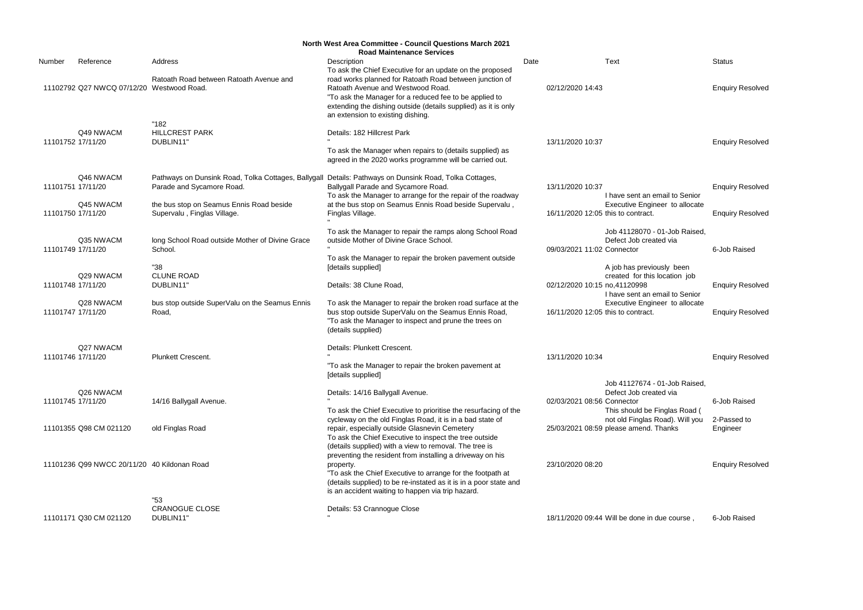|                   | <b>North West Area Committee - Council Questions March 2021</b><br><b>Road Maintenance Services</b> |                                                                                  |                                                                                                                                                                                                                                                                |      |                                    |                                                                                          |                         |  |  |  |
|-------------------|-----------------------------------------------------------------------------------------------------|----------------------------------------------------------------------------------|----------------------------------------------------------------------------------------------------------------------------------------------------------------------------------------------------------------------------------------------------------------|------|------------------------------------|------------------------------------------------------------------------------------------|-------------------------|--|--|--|
| Number            | Reference                                                                                           | Address                                                                          | Description<br>To ask the Chief Executive for an update on the proposed                                                                                                                                                                                        | Date |                                    | Text                                                                                     | <b>Status</b>           |  |  |  |
|                   | 11102792 Q27 NWCQ 07/12/20 Westwood Road.                                                           | Ratoath Road between Ratoath Avenue and                                          | road works planned for Ratoath Road between junction of<br>Ratoath Avenue and Westwood Road.<br>"To ask the Manager for a reduced fee to be applied to<br>extending the dishing outside (details supplied) as it is only<br>an extension to existing dishing.  |      | 02/12/2020 14:43                   |                                                                                          | <b>Enquiry Resolved</b> |  |  |  |
| 11101752 17/11/20 | Q49 NWACM                                                                                           | "182<br><b>HILLCREST PARK</b><br>DUBLIN11"                                       | Details: 182 Hillcrest Park                                                                                                                                                                                                                                    |      | 13/11/2020 10:37                   |                                                                                          | <b>Enquiry Resolved</b> |  |  |  |
|                   |                                                                                                     |                                                                                  | To ask the Manager when repairs to (details supplied) as<br>agreed in the 2020 works programme will be carried out.                                                                                                                                            |      |                                    |                                                                                          |                         |  |  |  |
| 11101751 17/11/20 | Q46 NWACM                                                                                           | Pathways on Dunsink Road, Tolka Cottages, Ballygall<br>Parade and Sycamore Road. | Details: Pathways on Dunsink Road, Tolka Cottages,<br>Ballygall Parade and Sycamore Road.<br>To ask the Manager to arrange for the repair of the roadway                                                                                                       |      | 13/11/2020 10:37                   | I have sent an email to Senior                                                           | <b>Enquiry Resolved</b> |  |  |  |
| 11101750 17/11/20 | Q45 NWACM                                                                                           | the bus stop on Seamus Ennis Road beside<br>Supervalu, Finglas Village.          | at the bus stop on Seamus Ennis Road beside Supervalu,<br>Finglas Village.                                                                                                                                                                                     |      | 16/11/2020 12:05 this to contract. | Executive Engineer to allocate                                                           | <b>Enquiry Resolved</b> |  |  |  |
| 11101749 17/11/20 | Q35 NWACM                                                                                           | long School Road outside Mother of Divine Grace<br>School.                       | To ask the Manager to repair the ramps along School Road<br>outside Mother of Divine Grace School.                                                                                                                                                             |      | 09/03/2021 11:02 Connector         | Job 41128070 - 01-Job Raised,<br>Defect Job created via                                  | 6-Job Raised            |  |  |  |
| 11101748 17/11/20 | Q29 NWACM                                                                                           | "38<br><b>CLUNE ROAD</b><br>DUBLIN11"                                            | To ask the Manager to repair the broken pavement outside<br>[details supplied]<br>Details: 38 Clune Road,                                                                                                                                                      |      | 02/12/2020 10:15 no,41120998       | A job has previously been<br>created for this location job                               | <b>Enquiry Resolved</b> |  |  |  |
| 11101747 17/11/20 | Q28 NWACM                                                                                           | bus stop outside SuperValu on the Seamus Ennis<br>Road,                          | To ask the Manager to repair the broken road surface at the<br>bus stop outside SuperValu on the Seamus Ennis Road,<br>"To ask the Manager to inspect and prune the trees on<br>(details supplied)                                                             |      | 16/11/2020 12:05 this to contract. | I have sent an email to Senior<br>Executive Engineer to allocate                         | <b>Enquiry Resolved</b> |  |  |  |
| 11101746 17/11/20 | Q27 NWACM                                                                                           | Plunkett Crescent.                                                               | Details: Plunkett Crescent.<br>"To ask the Manager to repair the broken pavement at<br>[details supplied]                                                                                                                                                      |      | 13/11/2020 10:34                   |                                                                                          | <b>Enquiry Resolved</b> |  |  |  |
| 11101745 17/11/20 | Q26 NWACM                                                                                           | 14/16 Ballygall Avenue.                                                          | Details: 14/16 Ballygall Avenue.<br>To ask the Chief Executive to prioritise the resurfacing of the                                                                                                                                                            |      | 02/03/2021 08:56 Connector         | Job 41127674 - 01-Job Raised,<br>Defect Job created via<br>This should be Finglas Road ( | 6-Job Raised            |  |  |  |
|                   | 11101355 Q98 CM 021120                                                                              | old Finglas Road                                                                 | cycleway on the old Finglas Road, it is in a bad state of<br>repair, especially outside Glasnevin Cemetery<br>To ask the Chief Executive to inspect the tree outside<br>(details supplied) with a view to removal. The tree is                                 |      |                                    | not old Finglas Road). Will you<br>25/03/2021 08:59 please amend. Thanks                 | 2-Passed to<br>Engineer |  |  |  |
|                   | 11101236 Q99 NWCC 20/11/20 40 Kildonan Road                                                         |                                                                                  | preventing the resident from installing a driveway on his<br>property.<br>"To ask the Chief Executive to arrange for the footpath at<br>(details supplied) to be re-instated as it is in a poor state and<br>is an accident waiting to happen via trip hazard. |      | 23/10/2020 08:20                   |                                                                                          | <b>Enquiry Resolved</b> |  |  |  |
|                   |                                                                                                     | "53                                                                              |                                                                                                                                                                                                                                                                |      |                                    |                                                                                          |                         |  |  |  |
|                   | 11101171 Q30 CM 021120                                                                              | <b>CRANOGUE CLOSE</b><br>DUBLIN11"                                               | Details: 53 Crannogue Close                                                                                                                                                                                                                                    |      |                                    | 18/11/2020 09:44 Will be done in due course,                                             | 6-Job Raised            |  |  |  |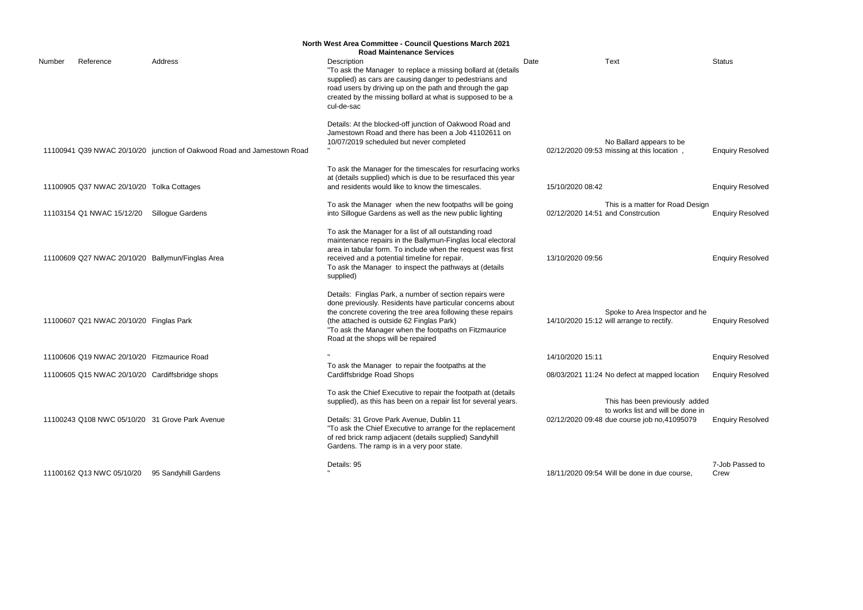|        | North West Area Committee - Council Questions March 2021<br><b>Road Maintenance Services</b> |                                                                        |                                                                                                                                                                                                                                                                                                                                                     |                                   |                                                                                                                    |                         |  |  |  |  |
|--------|----------------------------------------------------------------------------------------------|------------------------------------------------------------------------|-----------------------------------------------------------------------------------------------------------------------------------------------------------------------------------------------------------------------------------------------------------------------------------------------------------------------------------------------------|-----------------------------------|--------------------------------------------------------------------------------------------------------------------|-------------------------|--|--|--|--|
| Number | Reference                                                                                    | Address                                                                | Description<br>"To ask the Manager to replace a missing bollard at (details<br>supplied) as cars are causing danger to pedestrians and<br>road users by driving up on the path and through the gap<br>created by the missing bollard at what is supposed to be a<br>cul-de-sac                                                                      | Date                              | <b>Text</b>                                                                                                        | <b>Status</b>           |  |  |  |  |
|        |                                                                                              | 11100941 Q39 NWAC 20/10/20 junction of Oakwood Road and Jamestown Road | Details: At the blocked-off junction of Oakwood Road and<br>Jamestown Road and there has been a Job 41102611 on<br>10/07/2019 scheduled but never completed                                                                                                                                                                                         |                                   | No Ballard appears to be<br>02/12/2020 09:53 missing at this location,                                             | <b>Enquiry Resolved</b> |  |  |  |  |
|        | 11100905 Q37 NWAC 20/10/20 Tolka Cottages                                                    |                                                                        | To ask the Manager for the timescales for resurfacing works<br>at (details supplied) which is due to be resurfaced this year<br>and residents would like to know the timescales.                                                                                                                                                                    | 15/10/2020 08:42                  |                                                                                                                    | <b>Enquiry Resolved</b> |  |  |  |  |
|        | 11103154 Q1 NWAC 15/12/20                                                                    | Sillogue Gardens                                                       | To ask the Manager when the new footpaths will be going<br>into Sillogue Gardens as well as the new public lighting                                                                                                                                                                                                                                 | 02/12/2020 14:51 and Constrcution | This is a matter for Road Design                                                                                   | <b>Enquiry Resolved</b> |  |  |  |  |
|        |                                                                                              | 11100609 Q27 NWAC 20/10/20 Ballymun/Finglas Area                       | To ask the Manager for a list of all outstanding road<br>maintenance repairs in the Ballymun-Finglas local electoral<br>area in tabular form. To include when the request was first<br>received and a potential timeline for repair.<br>To ask the Manager to inspect the pathways at (details<br>supplied)                                         | 13/10/2020 09:56                  |                                                                                                                    | <b>Enquiry Resolved</b> |  |  |  |  |
|        | 11100607 Q21 NWAC 20/10/20 Finglas Park                                                      |                                                                        | Details: Finglas Park, a number of section repairs were<br>done previously. Residents have particular concerns about<br>the concrete covering the tree area following these repairs<br>(the attached is outside 62 Finglas Park)<br>"To ask the Manager when the footpaths on Fitzmaurice<br>Road at the shops will be repaired                     |                                   | Spoke to Area Inspector and he<br>14/10/2020 15:12 will arrange to rectify.                                        | <b>Enquiry Resolved</b> |  |  |  |  |
|        | 11100606 Q19 NWAC 20/10/20 Fitzmaurice Road                                                  |                                                                        |                                                                                                                                                                                                                                                                                                                                                     | 14/10/2020 15:11                  |                                                                                                                    | <b>Enquiry Resolved</b> |  |  |  |  |
|        | 11100605 Q15 NWAC 20/10/20 Cardiffsbridge shops                                              |                                                                        | To ask the Manager to repair the footpaths at the<br>Cardiffsbridge Road Shops                                                                                                                                                                                                                                                                      |                                   | 08/03/2021 11:24 No defect at mapped location                                                                      | <b>Enquiry Resolved</b> |  |  |  |  |
|        |                                                                                              | 11100243 Q108 NWC 05/10/20 31 Grove Park Avenue                        | To ask the Chief Executive to repair the footpath at (details<br>supplied), as this has been on a repair list for several years.<br>Details: 31 Grove Park Avenue, Dublin 11<br>"To ask the Chief Executive to arrange for the replacement<br>of red brick ramp adjacent (details supplied) Sandyhill<br>Gardens. The ramp is in a very poor state. |                                   | This has been previously added<br>to works list and will be done in<br>02/12/2020 09:48 due course job no,41095079 | <b>Enquiry Resolved</b> |  |  |  |  |
|        | 11100162 Q13 NWC 05/10/20                                                                    | 95 Sandyhill Gardens                                                   | Details: 95                                                                                                                                                                                                                                                                                                                                         |                                   | 18/11/2020 09:54 Will be done in due course,                                                                       | 7-Job Passed to<br>Crew |  |  |  |  |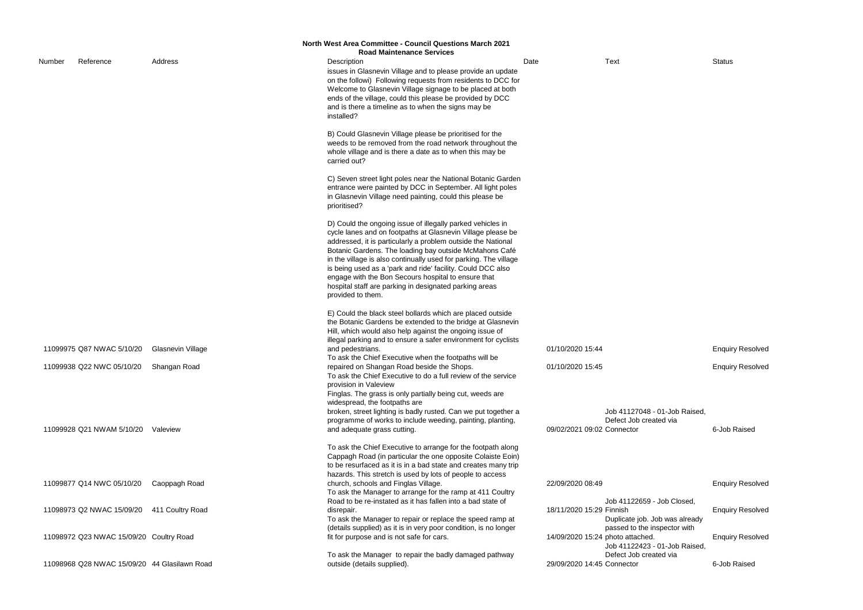|                                                                                  | <b>Enquiry Resolved</b> |
|----------------------------------------------------------------------------------|-------------------------|
| Job 41122659 - Job Closed,<br>Finnish<br>Duplicate job. Job was already          | <b>Enquiry Resolved</b> |
| passed to the inspector with<br>photo attached.<br>Job 41122423 - 01-Job Raised, | <b>Enquiry Resolved</b> |
| Defect Job created via<br>Connector                                              | 6-Job Raised            |

|        | North West Area Committee - Council Questions March 2021 |                   |  |                                                                                                                                                                                                                                                                                                                                                                                                                                                                                                                              |      |                            |                                                                                              |                         |  |  |
|--------|----------------------------------------------------------|-------------------|--|------------------------------------------------------------------------------------------------------------------------------------------------------------------------------------------------------------------------------------------------------------------------------------------------------------------------------------------------------------------------------------------------------------------------------------------------------------------------------------------------------------------------------|------|----------------------------|----------------------------------------------------------------------------------------------|-------------------------|--|--|
|        |                                                          |                   |  | <b>Road Maintenance Services</b>                                                                                                                                                                                                                                                                                                                                                                                                                                                                                             |      |                            |                                                                                              |                         |  |  |
| Number | Reference                                                | Address           |  | Description<br>issues in Glasnevin Village and to please provide an update<br>on the followi) Following requests from residents to DCC for<br>Welcome to Glasnevin Village signage to be placed at both<br>ends of the village, could this please be provided by DCC<br>and is there a timeline as to when the signs may be<br>installed?                                                                                                                                                                                    | Date |                            | <b>Text</b>                                                                                  | <b>Status</b>           |  |  |
|        |                                                          |                   |  | B) Could Glasnevin Village please be prioritised for the<br>weeds to be removed from the road network throughout the<br>whole village and is there a date as to when this may be<br>carried out?                                                                                                                                                                                                                                                                                                                             |      |                            |                                                                                              |                         |  |  |
|        |                                                          |                   |  | C) Seven street light poles near the National Botanic Garden<br>entrance were painted by DCC in September. All light poles<br>in Glasnevin Village need painting, could this please be<br>prioritised?                                                                                                                                                                                                                                                                                                                       |      |                            |                                                                                              |                         |  |  |
|        |                                                          |                   |  | D) Could the ongoing issue of illegally parked vehicles in<br>cycle lanes and on footpaths at Glasnevin Village please be<br>addressed, it is particularly a problem outside the National<br>Botanic Gardens. The loading bay outside McMahons Café<br>in the village is also continually used for parking. The village<br>is being used as a 'park and ride' facility. Could DCC also<br>engage with the Bon Secours hospital to ensure that<br>hospital staff are parking in designated parking areas<br>provided to them. |      |                            |                                                                                              |                         |  |  |
|        | 11099975 Q87 NWAC 5/10/20                                | Glasnevin Village |  | E) Could the black steel bollards which are placed outside<br>the Botanic Gardens be extended to the bridge at Glasnevin<br>Hill, which would also help against the ongoing issue of<br>illegal parking and to ensure a safer environment for cyclists<br>and pedestrians.                                                                                                                                                                                                                                                   |      | 01/10/2020 15:44           |                                                                                              | <b>Enquiry Resolved</b> |  |  |
|        | 11099938 Q22 NWC 05/10/20 Shangan Road                   |                   |  | To ask the Chief Executive when the footpaths will be<br>repaired on Shangan Road beside the Shops.<br>To ask the Chief Executive to do a full review of the service<br>provision in Valeview                                                                                                                                                                                                                                                                                                                                |      | 01/10/2020 15:45           |                                                                                              | <b>Enquiry Resolved</b> |  |  |
|        | 11099928 Q21 NWAM 5/10/20                                | Valeview          |  | Finglas. The grass is only partially being cut, weeds are<br>widespread, the footpaths are<br>broken, street lighting is badly rusted. Can we put together a<br>programme of works to include weeding, painting, planting,<br>and adequate grass cutting.                                                                                                                                                                                                                                                                    |      | 09/02/2021 09:02 Connector | Job 41127048 - 01-Job Raised,<br>Defect Job created via                                      | 6-Job Raised            |  |  |
|        |                                                          |                   |  | To ask the Chief Executive to arrange for the footpath along<br>Cappagh Road (in particular the one opposite Colaiste Eoin)<br>to be resurfaced as it is in a bad state and creates many trip<br>hazards. This stretch is used by lots of people to access                                                                                                                                                                                                                                                                   |      |                            |                                                                                              |                         |  |  |
|        | 11099877 Q14 NWC 05/10/20                                | Caoppagh Road     |  | church, schools and Finglas Village.<br>To ask the Manager to arrange for the ramp at 411 Coultry                                                                                                                                                                                                                                                                                                                                                                                                                            |      | 22/09/2020 08:49           |                                                                                              | <b>Enquiry Resolved</b> |  |  |
|        | 11098973 Q2 NWAC 15/09/20                                | 411 Coultry Road  |  | Road to be re-instated as it has fallen into a bad state of<br>disrepair.<br>To ask the Manager to repair or replace the speed ramp at<br>(details supplied) as it is in very poor condition, is no longer                                                                                                                                                                                                                                                                                                                   |      | 18/11/2020 15:29 Finnish   | Job 41122659 - Job Closed,<br>Duplicate job. Job was already<br>passed to the inspector with | <b>Enquiry Resolved</b> |  |  |
|        | 11098972 Q23 NWAC 15/09/20 Coultry Road                  |                   |  | fit for purpose and is not safe for cars.                                                                                                                                                                                                                                                                                                                                                                                                                                                                                    |      |                            | 14/09/2020 15:24 photo attached.<br>Job 41122423 - 01-Job Raised,                            | <b>Enquiry Resolved</b> |  |  |
|        | 11098968 Q28 NWAC 15/09/20 44 Glasilawn Road             |                   |  | To ask the Manager to repair the badly damaged pathway<br>outside (details supplied).                                                                                                                                                                                                                                                                                                                                                                                                                                        |      | 29/09/2020 14:45 Connector | Defect Job created via                                                                       | 6-Job Raised            |  |  |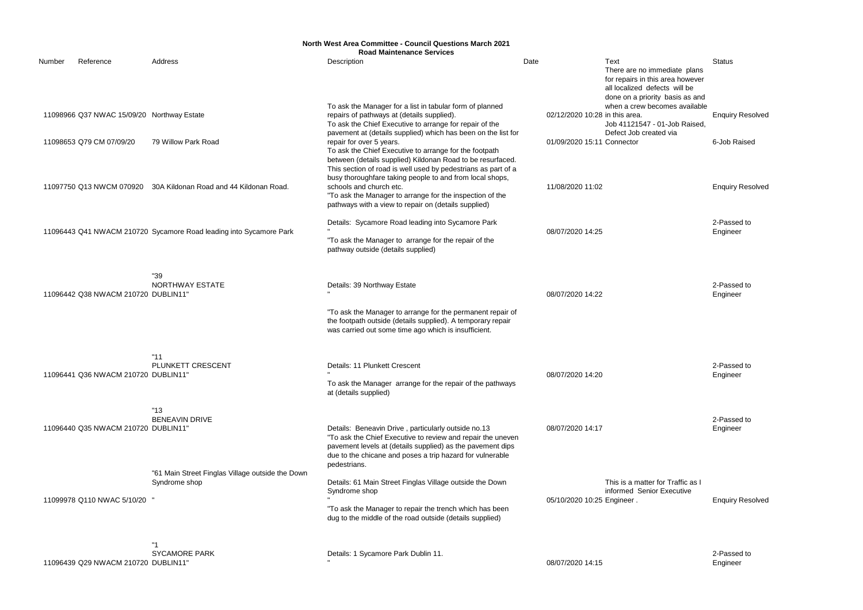|        |                                                                        |                                                                    | <b>North West Area Committee - Council Questions March 2021</b><br><b>Road Maintenance Services</b>                                                                                                                                                                                                                                                                                    |      |                                                              |                                                                                                                                                                                                  |                                         |
|--------|------------------------------------------------------------------------|--------------------------------------------------------------------|----------------------------------------------------------------------------------------------------------------------------------------------------------------------------------------------------------------------------------------------------------------------------------------------------------------------------------------------------------------------------------------|------|--------------------------------------------------------------|--------------------------------------------------------------------------------------------------------------------------------------------------------------------------------------------------|-----------------------------------------|
| Number | Reference                                                              | Address                                                            | Description                                                                                                                                                                                                                                                                                                                                                                            | Date |                                                              | Text<br>There are no immediate plans                                                                                                                                                             | <b>Status</b>                           |
|        | 11098966 Q37 NWAC 15/09/20 Northway Estate<br>11098653 Q79 CM 07/09/20 | 79 Willow Park Road                                                | To ask the Manager for a list in tabular form of planned<br>repairs of pathways at (details supplied).<br>To ask the Chief Executive to arrange for repair of the<br>pavement at (details supplied) which has been on the list for<br>repair for over 5 years.<br>To ask the Chief Executive to arrange for the footpath<br>between (details supplied) Kildonan Road to be resurfaced. |      | 02/12/2020 10:28 in this area.<br>01/09/2020 15:11 Connector | for repairs in this area however<br>all localized defects will be<br>done on a priority basis as and<br>when a crew becomes available<br>Job 41121547 - 01-Job Raised,<br>Defect Job created via | <b>Enquiry Resolved</b><br>6-Job Raised |
|        |                                                                        | 11097750 Q13 NWCM 070920 30A Kildonan Road and 44 Kildonan Road.   | This section of road is well used by pedestrians as part of a<br>busy thoroughfare taking people to and from local shops,<br>schools and church etc.<br>"To ask the Manager to arrange for the inspection of the<br>pathways with a view to repair on (details supplied)                                                                                                               |      | 11/08/2020 11:02                                             |                                                                                                                                                                                                  | <b>Enquiry Resolved</b>                 |
|        |                                                                        | 11096443 Q41 NWACM 210720 Sycamore Road leading into Sycamore Park | Details: Sycamore Road leading into Sycamore Park<br>"To ask the Manager to arrange for the repair of the<br>pathway outside (details supplied)                                                                                                                                                                                                                                        |      | 08/07/2020 14:25                                             |                                                                                                                                                                                                  | 2-Passed to<br>Engineer                 |
|        | 11096442 Q38 NWACM 210720 DUBLIN11'                                    | "39<br>NORTHWAY ESTATE                                             | Details: 39 Northway Estate<br>"To ask the Manager to arrange for the permanent repair of<br>the footpath outside (details supplied). A temporary repair<br>was carried out some time ago which is insufficient.                                                                                                                                                                       |      | 08/07/2020 14:22                                             |                                                                                                                                                                                                  | 2-Passed to<br>Engineer                 |
|        | 11096441 Q36 NWACM 210720 DUBLIN11"                                    | "11"<br>PLUNKETT CRESCENT                                          | Details: 11 Plunkett Crescent<br>To ask the Manager arrange for the repair of the pathways<br>at (details supplied)                                                                                                                                                                                                                                                                    |      | 08/07/2020 14:20                                             |                                                                                                                                                                                                  | 2-Passed to<br>Engineer                 |
|        | 11096440 Q35 NWACM 210720 DUBLIN11"                                    | "13"<br><b>BENEAVIN DRIVE</b>                                      | Details: Beneavin Drive, particularly outside no.13<br>"To ask the Chief Executive to review and repair the uneven<br>pavement levels at (details supplied) as the pavement dips<br>due to the chicane and poses a trip hazard for vulnerable                                                                                                                                          |      | 08/07/2020 14:17                                             |                                                                                                                                                                                                  | 2-Passed to<br>Engineer                 |
|        | 11099978 Q110 NWAC 5/10/20                                             | "61 Main Street Finglas Village outside the Down<br>Syndrome shop  | pedestrians.<br>Details: 61 Main Street Finglas Village outside the Down<br>Syndrome shop<br>"To ask the Manager to repair the trench which has been<br>dug to the middle of the road outside (details supplied)                                                                                                                                                                       |      | 05/10/2020 10:25 Engineer.                                   | This is a matter for Traffic as I<br>informed Senior Executive                                                                                                                                   | <b>Enquiry Resolved</b>                 |
|        | 11096439 Q29 NWACM 210720 DUBLIN11'                                    | "1<br><b>SYCAMORE PARK</b>                                         | Details: 1 Sycamore Park Dublin 11.                                                                                                                                                                                                                                                                                                                                                    |      | 08/07/2020 14:15                                             |                                                                                                                                                                                                  | 2-Passed to<br>Engineer                 |

Engineer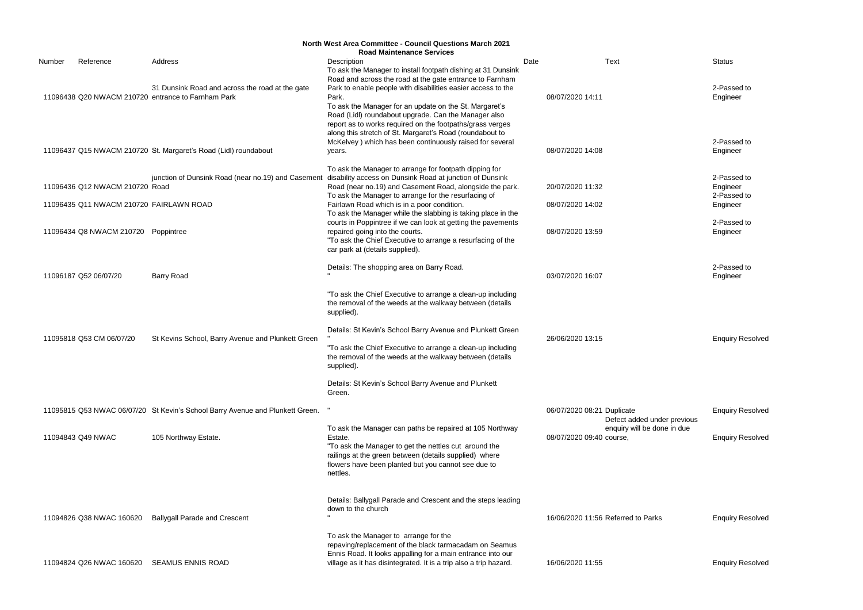2-Passed to Engineer

2-Passed to Engineer

2-Passed to Engineer 2-Passed to Engineer

2-Passed to Engineer

|        | <b>North West Area Committee - Council Questions March 2021</b><br><b>Road Maintenance Services</b> |                                                                                                       |                                                                                                                                                                                                                                                                                                                                                                              |      |                                                           |                           |  |  |  |  |
|--------|-----------------------------------------------------------------------------------------------------|-------------------------------------------------------------------------------------------------------|------------------------------------------------------------------------------------------------------------------------------------------------------------------------------------------------------------------------------------------------------------------------------------------------------------------------------------------------------------------------------|------|-----------------------------------------------------------|---------------------------|--|--|--|--|
| Number | Reference                                                                                           | Address                                                                                               | Description<br>To ask the Manager to install footpath dishing at 31 Dunsink                                                                                                                                                                                                                                                                                                  | Date | <b>Text</b>                                               | <b>Status</b>             |  |  |  |  |
|        |                                                                                                     | 31 Dunsink Road and across the road at the gate<br>11096438 Q20 NWACM 210720 entrance to Farnham Park | Road and across the road at the gate entrance to Farnham<br>Park to enable people with disabilities easier access to the<br>Park.<br>To ask the Manager for an update on the St. Margaret's<br>Road (Lidl) roundabout upgrade. Can the Manager also<br>report as to works required on the footpaths/grass verges<br>along this stretch of St. Margaret's Road (roundabout to |      | 08/07/2020 14:11                                          | 2-Pas<br>Engine           |  |  |  |  |
|        |                                                                                                     | 11096437 Q15 NWACM 210720 St. Margaret's Road (Lidl) roundabout                                       | McKelvey) which has been continuously raised for several<br>years.                                                                                                                                                                                                                                                                                                           |      | 08/07/2020 14:08                                          | 2-Pas<br>Engine           |  |  |  |  |
|        | 11096436 Q12 NWACM 210720 Road<br>11096435 Q11 NWACM 210720 FAIRLAWN ROAD                           |                                                                                                       | To ask the Manager to arrange for footpath dipping for<br>junction of Dunsink Road (near no.19) and Casement disability access on Dunsink Road at junction of Dunsink<br>Road (near no.19) and Casement Road, alongside the park.<br>To ask the Manager to arrange for the resurfacing of                                                                                    |      | 20/07/2020 11:32                                          | 2-Pas<br>Engine<br>2-Pas  |  |  |  |  |
|        | 11096434 Q8 NWACM 210720 Poppintree                                                                 |                                                                                                       | Fairlawn Road which is in a poor condition.<br>To ask the Manager while the slabbing is taking place in the<br>courts in Poppintree if we can look at getting the pavements<br>repaired going into the courts.<br>"To ask the Chief Executive to arrange a resurfacing of the<br>car park at (details supplied).                                                             |      | 08/07/2020 14:02<br>08/07/2020 13:59                      | Engine<br>2-Pas<br>Engine |  |  |  |  |
|        | 11096187 Q52 06/07/20                                                                               | <b>Barry Road</b>                                                                                     | Details: The shopping area on Barry Road.                                                                                                                                                                                                                                                                                                                                    |      | 03/07/2020 16:07                                          | 2-Pas<br>Engine           |  |  |  |  |
|        | 11095818 Q53 CM 06/07/20                                                                            | St Kevins School, Barry Avenue and Plunkett Green                                                     | "To ask the Chief Executive to arrange a clean-up including<br>the removal of the weeds at the walkway between (details<br>supplied).<br>Details: St Kevin's School Barry Avenue and Plunkett Green<br>"To ask the Chief Executive to arrange a clean-up including<br>the removal of the weeds at the walkway between (details<br>supplied).                                 |      | 26/06/2020 13:15                                          | Enqui                     |  |  |  |  |
|        |                                                                                                     |                                                                                                       | Details: St Kevin's School Barry Avenue and Plunkett<br>Green.                                                                                                                                                                                                                                                                                                               |      |                                                           |                           |  |  |  |  |
|        |                                                                                                     | 11095815 Q53 NWAC 06/07/20 St Kevin's School Barry Avenue and Plunkett Green.                         |                                                                                                                                                                                                                                                                                                                                                                              |      | 06/07/2020 08:21 Duplicate<br>Defect added under previous | Enqui                     |  |  |  |  |
|        | 11094843 Q49 NWAC                                                                                   | 105 Northway Estate.                                                                                  | To ask the Manager can paths be repaired at 105 Northway<br>Estate.<br>"To ask the Manager to get the nettles cut around the<br>railings at the green between (details supplied) where<br>flowers have been planted but you cannot see due to<br>nettles.                                                                                                                    |      | enquiry will be done in due<br>08/07/2020 09:40 course,   | Enqui                     |  |  |  |  |
|        |                                                                                                     |                                                                                                       | Details: Ballygall Parade and Crescent and the steps leading<br>down to the church                                                                                                                                                                                                                                                                                           |      | 16/06/2020 11:56 Referred to Parks                        |                           |  |  |  |  |
|        | 11094826 Q38 NWAC 160620                                                                            | <b>Ballygall Parade and Crescent</b>                                                                  | To ask the Manager to arrange for the<br>repaving/replacement of the black tarmacadam on Seamus<br>Ennis Road. It looks appalling for a main entrance into our                                                                                                                                                                                                               |      |                                                           | Enqui                     |  |  |  |  |
|        |                                                                                                     | 11094824 Q26 NWAC 160620 SEAMUS ENNIS ROAD                                                            | village as it has disintegrated. It is a trip also a trip hazard.                                                                                                                                                                                                                                                                                                            |      | 16/06/2020 11:55                                          | Enqui                     |  |  |  |  |

2-Passed to Engineer

**Enquiry Resolved** 

Enquiry Resolved

**Enquiry Resolved** 

n 16 and 16 Parks **16 and 16 and 16 Enquiry Resolved** 

Enquiry Resolved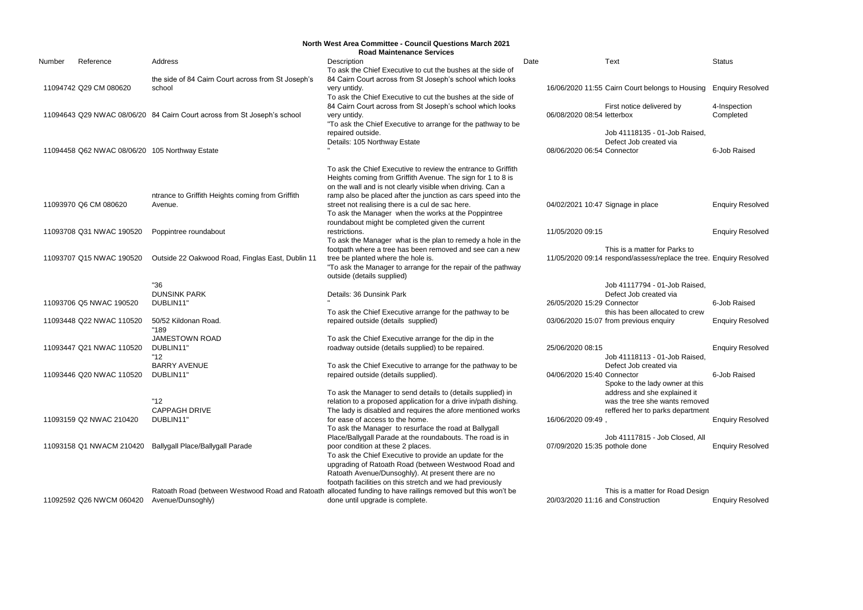|        | North West Area Committee - Council Questions March 2021<br><b>Road Maintenance Services</b> |                                                                          |                                                                                                              |      |                            |                                                                    |                         |  |  |
|--------|----------------------------------------------------------------------------------------------|--------------------------------------------------------------------------|--------------------------------------------------------------------------------------------------------------|------|----------------------------|--------------------------------------------------------------------|-------------------------|--|--|
| Number | Reference                                                                                    | Address                                                                  | Description                                                                                                  | Date |                            | Text                                                               | <b>Status</b>           |  |  |
|        |                                                                                              |                                                                          | To ask the Chief Executive to cut the bushes at the side of                                                  |      |                            |                                                                    |                         |  |  |
|        |                                                                                              | the side of 84 Cairn Court across from St Joseph's                       | 84 Cairn Court across from St Joseph's school which looks                                                    |      |                            |                                                                    |                         |  |  |
|        | 11094742 Q29 CM 080620                                                                       | school                                                                   | very untidy.                                                                                                 |      |                            | 16/06/2020 11:55 Cairn Court belongs to Housing Enquiry Resolved   |                         |  |  |
|        |                                                                                              |                                                                          | To ask the Chief Executive to cut the bushes at the side of                                                  |      |                            |                                                                    |                         |  |  |
|        |                                                                                              |                                                                          | 84 Cairn Court across from St Joseph's school which looks                                                    |      |                            | First notice delivered by                                          | 4-Inspection            |  |  |
|        |                                                                                              | 11094643 Q29 NWAC 08/06/20 84 Cairn Court across from St Joseph's school | very untidy.                                                                                                 |      | 06/08/2020 08:54 letterbox |                                                                    | Completed               |  |  |
|        |                                                                                              |                                                                          | "To ask the Chief Executive to arrange for the pathway to be                                                 |      |                            |                                                                    |                         |  |  |
|        |                                                                                              |                                                                          | repaired outside.                                                                                            |      |                            | Job 41118135 - 01-Job Raised,                                      |                         |  |  |
|        |                                                                                              |                                                                          | Details: 105 Northway Estate                                                                                 |      |                            | Defect Job created via                                             |                         |  |  |
|        | 11094458 Q62 NWAC 08/06/20 105 Northway Estate                                               |                                                                          |                                                                                                              |      | 08/06/2020 06:54 Connector |                                                                    | 6-Job Raised            |  |  |
|        |                                                                                              |                                                                          | To ask the Chief Executive to review the entrance to Griffith                                                |      |                            |                                                                    |                         |  |  |
|        |                                                                                              |                                                                          | Heights coming from Griffith Avenue. The sign for 1 to 8 is                                                  |      |                            |                                                                    |                         |  |  |
|        |                                                                                              |                                                                          | on the wall and is not clearly visible when driving. Can a                                                   |      |                            |                                                                    |                         |  |  |
|        |                                                                                              | ntrance to Griffith Heights coming from Griffith                         | ramp also be placed after the junction as cars speed into the                                                |      |                            |                                                                    |                         |  |  |
|        | 11093970 Q6 CM 080620                                                                        | Avenue.                                                                  | street not realising there is a cul de sac here.                                                             |      |                            | 04/02/2021 10:47 Signage in place                                  | <b>Enquiry Resolved</b> |  |  |
|        |                                                                                              |                                                                          | To ask the Manager when the works at the Poppintree                                                          |      |                            |                                                                    |                         |  |  |
|        |                                                                                              |                                                                          | roundabout might be completed given the current                                                              |      |                            |                                                                    |                         |  |  |
|        | 11093708 Q31 NWAC 190520                                                                     | Poppintree roundabout                                                    | restrictions.<br>To ask the Manager what is the plan to remedy a hole in the                                 |      | 11/05/2020 09:15           |                                                                    | <b>Enquiry Resolved</b> |  |  |
|        |                                                                                              |                                                                          | footpath where a tree has been removed and see can a new                                                     |      |                            | This is a matter for Parks to                                      |                         |  |  |
|        | 11093707 Q15 NWAC 190520                                                                     | Outside 22 Oakwood Road, Finglas East, Dublin 11                         | tree be planted where the hole is.                                                                           |      |                            | 11/05/2020 09:14 respond/assess/replace the tree. Enquiry Resolved |                         |  |  |
|        |                                                                                              |                                                                          | "To ask the Manager to arrange for the repair of the pathway                                                 |      |                            |                                                                    |                         |  |  |
|        |                                                                                              |                                                                          | outside (details supplied)                                                                                   |      |                            |                                                                    |                         |  |  |
|        |                                                                                              | "36                                                                      |                                                                                                              |      |                            | Job 41117794 - 01-Job Raised,                                      |                         |  |  |
|        |                                                                                              | <b>DUNSINK PARK</b>                                                      | Details: 36 Dunsink Park                                                                                     |      |                            | Defect Job created via                                             |                         |  |  |
|        | 11093706 Q5 NWAC 190520                                                                      | DUBLIN11"                                                                |                                                                                                              |      | 26/05/2020 15:29 Connector |                                                                    | 6-Job Raised            |  |  |
|        |                                                                                              |                                                                          | To ask the Chief Executive arrange for the pathway to be                                                     |      |                            | this has been allocated to crew                                    |                         |  |  |
|        | 11093448 Q22 NWAC 110520                                                                     | 50/52 Kildonan Road.                                                     | repaired outside (details supplied)                                                                          |      |                            | 03/06/2020 15:07 from previous enquiry                             | <b>Enquiry Resolved</b> |  |  |
|        |                                                                                              | "189                                                                     |                                                                                                              |      |                            |                                                                    |                         |  |  |
|        |                                                                                              | <b>JAMESTOWN ROAD</b>                                                    | To ask the Chief Executive arrange for the dip in the                                                        |      |                            |                                                                    |                         |  |  |
|        | 11093447 Q21 NWAC 110520                                                                     | DUBLIN11"                                                                | roadway outside (details supplied) to be repaired.                                                           |      | 25/06/2020 08:15           |                                                                    | <b>Enquiry Resolved</b> |  |  |
|        |                                                                                              | "12"                                                                     |                                                                                                              |      |                            | Job 41118113 - 01-Job Raised,                                      |                         |  |  |
|        |                                                                                              | <b>BARRY AVENUE</b><br>DUBLIN11"                                         | To ask the Chief Executive to arrange for the pathway to be<br>repaired outside (details supplied).          |      |                            | Defect Job created via                                             | 6-Job Raised            |  |  |
|        | 11093446 Q20 NWAC 110520                                                                     |                                                                          |                                                                                                              |      | 04/06/2020 15:40 Connector | Spoke to the lady owner at this                                    |                         |  |  |
|        |                                                                                              |                                                                          | To ask the Manager to send details to (details supplied) in                                                  |      |                            | address and she explained it                                       |                         |  |  |
|        |                                                                                              | "12"                                                                     | relation to a proposed application for a drive in/path dishing.                                              |      |                            | was the tree she wants removed                                     |                         |  |  |
|        |                                                                                              | <b>CAPPAGH DRIVE</b>                                                     | The lady is disabled and requires the afore mentioned works                                                  |      |                            | reffered her to parks department                                   |                         |  |  |
|        | 11093159 Q2 NWAC 210420                                                                      | DUBLIN11"                                                                | for ease of access to the home.                                                                              |      | 16/06/2020 09:49           |                                                                    | <b>Enquiry Resolved</b> |  |  |
|        |                                                                                              |                                                                          | To ask the Manager to resurface the road at Ballygall                                                        |      |                            |                                                                    |                         |  |  |
|        |                                                                                              |                                                                          | Place/Ballygall Parade at the roundabouts. The road is in                                                    |      |                            | Job 41117815 - Job Closed, All                                     |                         |  |  |
|        | 11093158 Q1 NWACM 210420                                                                     | <b>Ballygall Place/Ballygall Parade</b>                                  | poor condition at these 2 places.                                                                            |      |                            | 07/09/2020 15:35 pothole done                                      | <b>Enquiry Resolved</b> |  |  |
|        |                                                                                              |                                                                          | To ask the Chief Executive to provide an update for the                                                      |      |                            |                                                                    |                         |  |  |
|        |                                                                                              |                                                                          | upgrading of Ratoath Road (between Westwood Road and                                                         |      |                            |                                                                    |                         |  |  |
|        |                                                                                              |                                                                          | Ratoath Avenue/Dunsoghly). At present there are no                                                           |      |                            |                                                                    |                         |  |  |
|        |                                                                                              |                                                                          | footpath facilities on this stretch and we had previously                                                    |      |                            |                                                                    |                         |  |  |
|        |                                                                                              |                                                                          | Ratoath Road (between Westwood Road and Ratoath allocated funding to have railings removed but this won't be |      |                            | This is a matter for Road Design                                   |                         |  |  |
|        | 11092592 Q26 NWCM 060420                                                                     | Avenue/Dunsoghly)                                                        | done until upgrade is complete.                                                                              |      |                            | 20/03/2020 11:16 and Construction                                  | <b>Enquiry Resolved</b> |  |  |